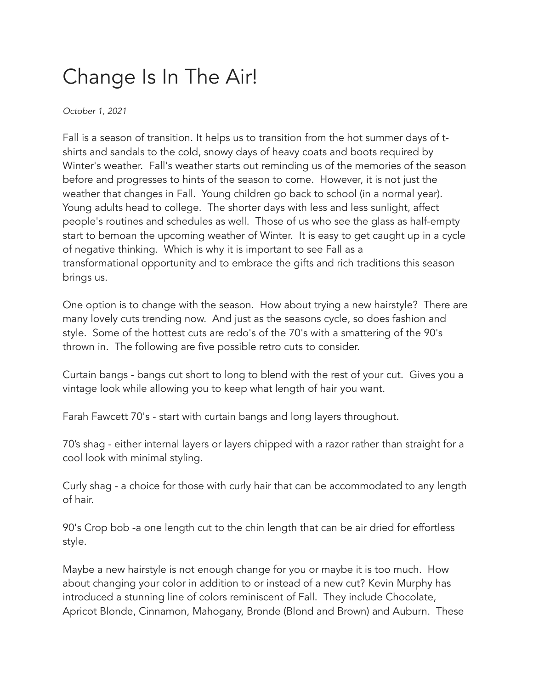## Change Is In The Air!

*October 1, 2021*

Fall is a season of transition. It helps us to transition from the hot summer days of tshirts and sandals to the cold, snowy days of heavy coats and boots required by Winter's weather. Fall's weather starts out reminding us of the memories of the season before and progresses to hints of the season to come. However, it is not just the weather that changes in Fall. Young children go back to school (in a normal year). Young adults head to college. The shorter days with less and less sunlight, affect people's routines and schedules as well. Those of us who see the glass as half-empty start to bemoan the upcoming weather of Winter. It is easy to get caught up in a cycle of negative thinking. Which is why it is important to see Fall as a transformational opportunity and to embrace the gifts and rich traditions this season brings us.

One option is to change with the season. How about trying a new hairstyle? There are many lovely cuts trending now. And just as the seasons cycle, so does fashion and style. Some of the hottest cuts are redo's of the 70's with a smattering of the 90's thrown in. The following are five possible retro cuts to consider.

Curtain bangs - bangs cut short to long to blend with the rest of your cut. Gives you a vintage look while allowing you to keep what length of hair you want.

Farah Fawcett 70's - start with curtain bangs and long layers throughout.

70's shag - either internal layers or layers chipped with a razor rather than straight for a cool look with minimal styling.

Curly shag - a choice for those with curly hair that can be accommodated to any length of hair.

90's Crop bob -a one length cut to the chin length that can be air dried for effortless style.

Maybe a new hairstyle is not enough change for you or maybe it is too much. How about changing your color in addition to or instead of a new cut? Kevin Murphy has introduced a stunning line of colors reminiscent of Fall. They include Chocolate, Apricot Blonde, Cinnamon, Mahogany, Bronde (Blond and Brown) and Auburn. These